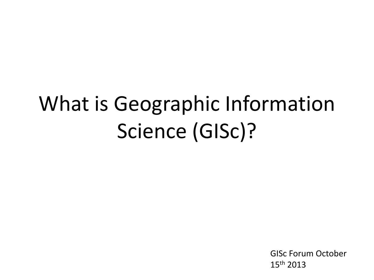# What is Geographic Information Science (GISc)?

GISc Forum October 15th 2013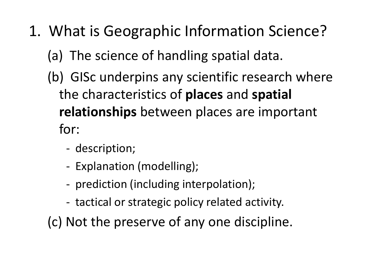- 1. What is Geographic Information Science?
	- (a) The science of handling spatial data.
	- (b) GISc underpins any scientific research where the characteristics of **places** and **spatial relationships** between places are important for:
		- description;
		- Explanation (modelling);
		- prediction (including interpolation);
		- tactical or strategic policy related activity.

(c) Not the preserve of any one discipline.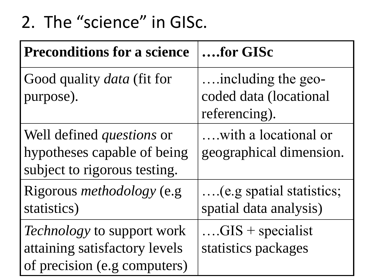# 2. The "science" in GISc.

| <b>Preconditions for a science</b>                                                                 | for GISc                                                      |
|----------------------------------------------------------------------------------------------------|---------------------------------------------------------------|
| Good quality <i>data</i> (fit for<br>purpose).                                                     | including the geo-<br>coded data (locational<br>referencing). |
| Well defined <i>questions</i> or<br>hypotheses capable of being<br>subject to rigorous testing.    | with a locational or<br>geographical dimension.               |
| Rigorous methodology (e.g.<br>statistics)                                                          | (e.g spatial statistics;<br>spatial data analysis)            |
| <i>Technology</i> to support work<br>attaining satisfactory levels<br>of precision (e.g computers) | $GIS + specialist$<br>statistics packages                     |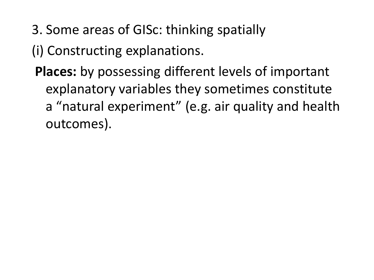3. Some areas of GISc: thinking spatially

(i) Constructing explanations.

**Places:** by possessing different levels of important explanatory variables they sometimes constitute a "natural experiment" (e.g. air quality and health outcomes).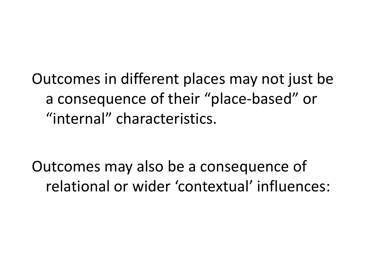Outcomes in different places may not just be a consequence of their "place-based" or "internal" characteristics.

Outcomes may also be a consequence of relational or wider 'contextual' influences: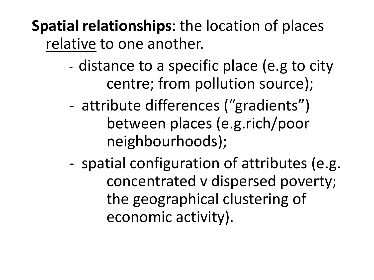**Spatial relationships**: the location of places relative to one another.

- distance to a specific place (e.g to city centre; from pollution source);
- attribute differences ("gradients") between places (e.g.rich/poor neighbourhoods);
- spatial configuration of attributes (e.g. concentrated v dispersed poverty; the geographical clustering of economic activity).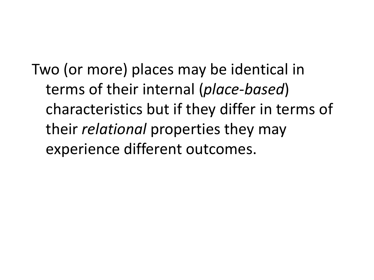Two (or more) places may be identical in terms of their internal (*place-based*) characteristics but if they differ in terms of their *relational* properties they may experience different outcomes.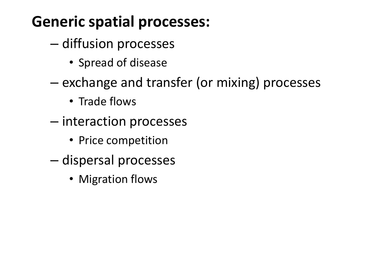### **Generic spatial processes:**

- diffusion processes
	- Spread of disease
- exchange and transfer (or mixing) processes
	- Trade flows
- interaction processes
	- Price competition
- dispersal processes
	- Migration flows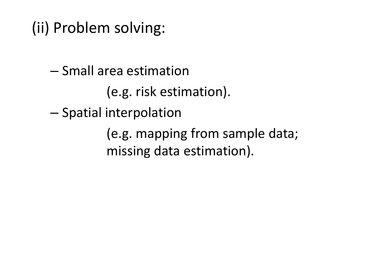## (ii) Problem solving:

– Small area estimation

(e.g. risk estimation).

– Spatial interpolation

(e.g. mapping from sample data; missing data estimation).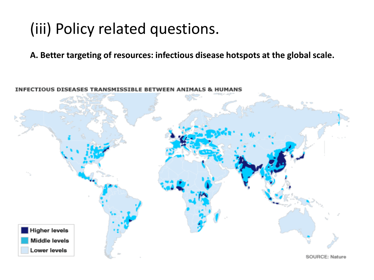### (iii) Policy related questions.

**A. Better targeting of resources: infectious disease hotspots at the global scale.**

**INFECTIOUS DISEASES TRANSMISSIBLE BETW** & HU **Higher levels** Middle levels **Lower levels** SOURCE: Nature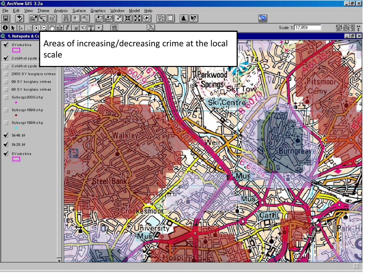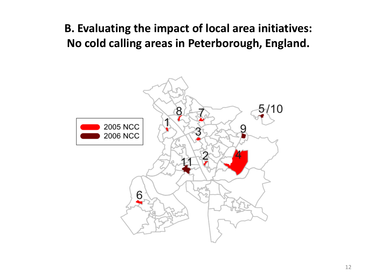#### **B. Evaluating the impact of local area initiatives: No cold calling areas in Peterborough, England.**

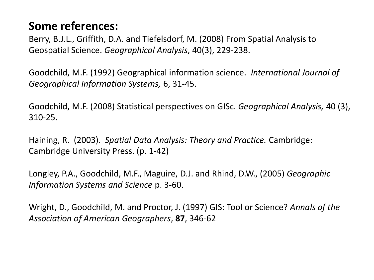#### **Some references:**

Berry, B.J.L., Griffith, D.A. and Tiefelsdorf, M. (2008) From Spatial Analysis to Geospatial Science. *Geographical Analysis*, 40(3), 229-238.

Goodchild, M.F. (1992) Geographical information science. *International Journal of Geographical Information Systems,* 6, 31-45.

Goodchild, M.F. (2008) Statistical perspectives on GISc. *Geographical Analysis,* 40 (3), 310-25.

Haining, R. (2003). *Spatial Data Analysis: Theory and Practice.* Cambridge: Cambridge University Press. (p. 1-42)

Longley, P.A., Goodchild, M.F., Maguire, D.J. and Rhind, D.W., (2005) *Geographic Information Systems and Science* p. 3-60.

Wright, D., Goodchild, M. and Proctor, J. (1997) GIS: Tool or Science? *Annals of the Association of American Geographers*, **87**, 346-62